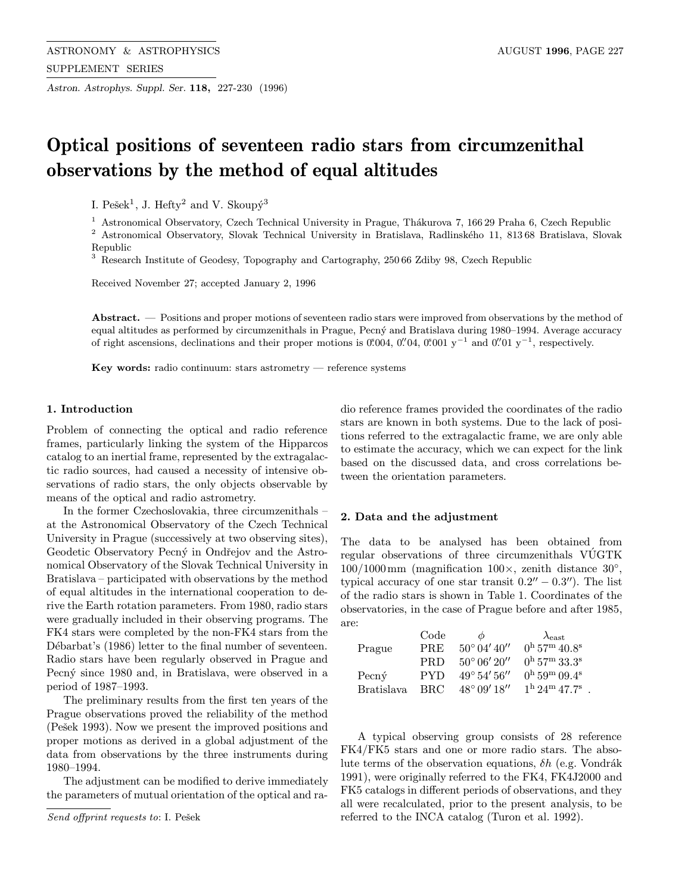Astron. Astrophys. Suppl. Ser. 118, 227-230 (1996)

# Optical positions of seventeen radio stars from circumzenithal observations by the method of equal altitudes

I. Pešek<sup>1</sup>, J. Hefty<sup>2</sup> and V. Skoupý<sup>3</sup>

<sup>1</sup> Astronomical Observatory, Czech Technical University in Prague, Thákurova 7, 166 29 Praha 6, Czech Republic

<sup>2</sup> Astronomical Observatory, Slovak Technical University in Bratislava, Radlinského 11, 81368 Bratislava, Slovak Republic

<sup>3</sup> Research Institute of Geodesy, Topography and Cartography, 250 66 Zdiby 98, Czech Republic

Received November 27; accepted January 2, 1996

Abstract. — Positions and proper motions of seventeen radio stars were improved from observations by the method of equal altitudes as performed by circumzenithals in Prague, Pecný and Bratislava during 1980–1994. Average accuracy of right ascensions, declinations and their proper motions is  $0.004$ ,  $0.004$ ,  $0.001$  y<sup>-1</sup> and  $0.001$  y<sup>-1</sup>, respectively.

Key words: radio continuum: stars astrometry — reference systems

## 1. Introduction

Problem of connecting the optical and radio reference frames, particularly linking the system of the Hipparcos catalog to an inertial frame, represented by the extragalactic radio sources, had caused a necessity of intensive observations of radio stars, the only objects observable by means of the optical and radio astrometry.

In the former Czechoslovakia, three circumzenithals – at the Astronomical Observatory of the Czech Technical University in Prague (successively at two observing sites), Geodetic Observatory Pecný in Ondřejov and the Astronomical Observatory of the Slovak Technical University in Bratislava – participated with observations by the method of equal altitudes in the international cooperation to derive the Earth rotation parameters. From 1980, radio stars were gradually included in their observing programs. The FK4 stars were completed by the non-FK4 stars from the Débarbat's (1986) letter to the final number of seventeen. Radio stars have been regularly observed in Prague and Pecný since 1980 and, in Bratislava, were observed in a period of 1987–1993.

The preliminary results from the first ten years of the Prague observations proved the reliability of the method (Pešek 1993). Now we present the improved positions and proper motions as derived in a global adjustment of the data from observations by the three instruments during 1980–1994.

The adjustment can be modified to derive immediately the parameters of mutual orientation of the optical and radio reference frames provided the coordinates of the radio stars are known in both systems. Due to the lack of positions referred to the extragalactic frame, we are only able to estimate the accuracy, which we can expect for the link based on the discussed data, and cross correlations between the orientation parameters.

#### 2. Data and the adjustment

The data to be analysed has been obtained from regular observations of three circumzenithals VUGTK ´  $100/1000 \,\mathrm{mm}$  (magnification  $100 \times$ , zenith distance  $30^\circ$ , typical accuracy of one star transit  $0.2^{\prime\prime} - 0.3^{\prime\prime}$ . The list of the radio stars is shown in Table 1. Coordinates of the observatories, in the case of Prague before and after 1985, are:

|                   | Code       | Ф                       | $\lambda_{\rm east}$                          |
|-------------------|------------|-------------------------|-----------------------------------------------|
| Prague            | <b>PRE</b> | $50^{\circ}$ 04' 40''   | $0^{\rm h}$ 57 <sup>m</sup> 40.8 <sup>s</sup> |
|                   | <b>PRD</b> | $50^{\circ} 06' 20''$   | $0^{\rm h}$ 57 <sup>m</sup> 33.3 <sup>s</sup> |
| $Pecn\acute{v}$   | <b>PYD</b> | $49^{\circ} 54' 56''$   | $0^{\rm h}$ 59 <sup>m</sup> 09.4 <sup>s</sup> |
| <b>Bratislava</b> | <b>BRC</b> | $48^{\circ}$ 09' $18''$ | $1^{\rm h}$ 24 <sup>m</sup> 47.7 <sup>s</sup> |

A typical observing group consists of 28 reference FK4/FK5 stars and one or more radio stars. The absolute terms of the observation equations,  $\delta h$  (e.g. Vondrák) 1991), were originally referred to the FK4, FK4J2000 and FK5 catalogs in different periods of observations, and they all were recalculated, prior to the present analysis, to be referred to the INCA catalog (Turon et al. 1992).

Send offprint requests to: I. Pešek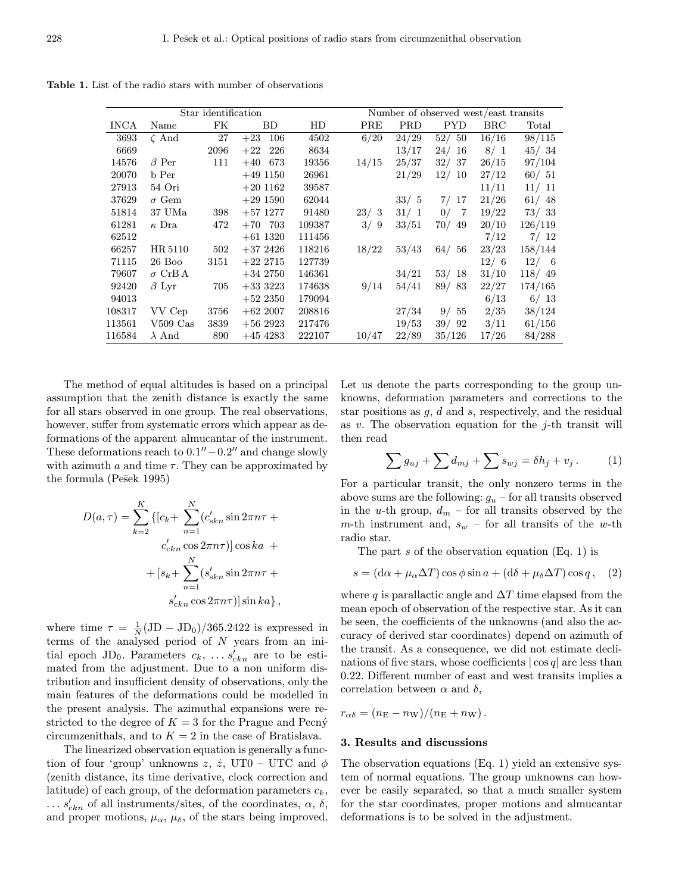Table 1. List of the radio stars with number of observations

| Star identification |               |      |              |        |       | Number of observed west/east transits |            |            |         |  |  |
|---------------------|---------------|------|--------------|--------|-------|---------------------------------------|------------|------------|---------|--|--|
| <b>INCA</b>         | Name          | FK   | BD           | HD     | PRE   | <b>PRD</b>                            | <b>PYD</b> | <b>BRC</b> | Total   |  |  |
| 3693                | $\zeta$ And   | 27   | 106<br>$+23$ | 4502   | 6/20  | 24/29                                 | 52/50      | 16/16      | 98/115  |  |  |
| 6669                |               | 2096 | 226<br>$+22$ | 8634   |       | 13/17                                 | 24/16      | 8/1        | 45/34   |  |  |
| 14576               | $\beta$ Per   | 111  | $+40$<br>673 | 19356  | 14/15 | 25/37                                 | 32/ 37     | 26/15      | 97/104  |  |  |
| 20070               | b Per         |      | $+49$ 1150   | 26961  |       | 21/29                                 | 12/10      | 27/12      | 60/51   |  |  |
| 27913               | 54 Ori        |      | $+20$ 1162   | 39587  |       |                                       |            | 11/11      | 11/11   |  |  |
| 37629               | $\sigma$ Gem  |      | $+291590$    | 62044  |       | 33/5                                  | 7/17       | 21/26      | 61/48   |  |  |
| 51814               | 37 UMa        | 398  | $+57$ 1277   | 91480  | 23/3  | 31/1                                  | 0/7        | 19/22      | 73/33   |  |  |
| 61281               | $\kappa$ Dra  | 472  | $+70$<br>703 | 109387 | 3/9   | 33/51                                 | 70/49      | 20/10      | 126/119 |  |  |
| 62512               |               |      | $+61$ 1320   | 111456 |       |                                       |            | 7/12       | 7/12    |  |  |
| 66257               | HR 5110       | 502  | $+372426$    | 118216 | 18/22 | 53/43                                 | 64/56      | 23/23      | 158/144 |  |  |
| 71115               | $26$ Boo      | 3151 | $+22\;2715$  | 127739 |       |                                       |            | 12/6       | 12/6    |  |  |
| 79607               | $\sigma$ CrBA |      | $+342750$    | 146361 |       | 34/21                                 | 53/18      | 31/10      | 118/49  |  |  |
| 92420               | $\beta$ Lyr   | 705  | $+333223$    | 174638 | 9/14  | 54/41                                 | 89/83      | 22/27      | 174/165 |  |  |
| 94013               |               |      | $+522350$    | 179094 |       |                                       |            | 6/13       | 6/13    |  |  |
| 108317              | VV Cep        | 3756 | $+622007$    | 208816 |       | 27/34                                 | 9/55       | 2/35       | 38/124  |  |  |
| 113561              | $V509$ Cas    | 3839 | $+562923$    | 217476 |       | 19/53                                 | 39/92      | 3/11       | 61/156  |  |  |
| 116584              | $\lambda$ And | 890  | $+454283$    | 222107 | 10/47 | 22/89                                 | 35/126     | 17/26      | 84/288  |  |  |

The method of equal altitudes is based on a principal assumption that the zenith distance is exactly the same for all stars observed in one group. The real observations, however, suffer from systematic errors which appear as deformations of the apparent almucantar of the instrument. These deformations reach to  $0.1''-0.2''$  and change slowly with azimuth  $a$  and time  $\tau$ . They can be approximated by the formula (Pešek 1995)

$$
D(a, \tau) = \sum_{k=2}^{K} \{ [c_k + \sum_{n=1}^{N} (c'_{\text{skn}} \sin 2\pi n\tau + c'_{\text{ckn}} \cos 2\pi n\tau)] \cos ka ++ [s_k + \sum_{n=1}^{N} (s'_{\text{skn}} \sin 2\pi n\tau +s'_{\text{ckn}} \cos 2\pi n\tau)] \sin ka \},
$$

where time  $\tau = \frac{1}{N} (JD - JD_0)/365.2422$  is expressed in terms of the analysed period of  $N$  years from an initial epoch JD<sub>0</sub>. Parameters  $c_k$ , ...  $s'_{ckn}$  are to be estimated from the adjustment. Due to a non uniform distribution and insufficient density of observations, only the main features of the deformations could be modelled in the present analysis. The azimuthal expansions were restricted to the degree of  $K = 3$  for the Prague and Pecn $\acute{y}$ circumzenithals, and to  $K = 2$  in the case of Bratislava.

The linearized observation equation is generally a function of four 'group' unknowns z,  $\dot{z}$ , UT0 – UTC and  $\phi$ (zenith distance, its time derivative, clock correction and latitude) of each group, of the deformation parameters  $c_k$ ,  $\dots$  s'<sub>ckn</sub> of all instruments/sites, of the coordinates,  $\alpha$ ,  $\delta$ , and proper motions,  $\mu_{\alpha}$ ,  $\mu_{\delta}$ , of the stars being improved. Let us denote the parts corresponding to the group unknowns, deformation parameters and corrections to the star positions as  $g, d$  and  $s$ , respectively, and the residual as v. The observation equation for the  $i$ -th transit will then read

$$
\sum g_{uj} + \sum d_{mj} + \sum s_{wj} = \delta h_j + v_j. \tag{1}
$$

For a particular transit, the only nonzero terms in the above sums are the following:  $g_u$  – for all transits observed in the u-th group,  $d_m$  – for all transits observed by the m-th instrument and,  $s_w$  – for all transits of the w-th radio star.

The part  $s$  of the observation equation (Eq. 1) is

$$
s = (\mathrm{d}\alpha + \mu_{\alpha} \Delta T) \cos \phi \sin a + (\mathrm{d}\delta + \mu_{\delta} \Delta T) \cos q, \quad (2)
$$

where q is parallactic angle and  $\Delta T$  time elapsed from the mean epoch of observation of the respective star. As it can be seen, the coefficients of the unknowns (and also the accuracy of derived star coordinates) depend on azimuth of the transit. As a consequence, we did not estimate declinations of five stars, whose coefficients  $|\cos q|$  are less than 0.22. Different number of east and west transits implies a correlation between  $\alpha$  and  $\delta$ ,

 $r_{\alpha\delta} = (n_{\rm E} - n_{\rm W})/(n_{\rm E} + n_{\rm W}).$ 

#### 3. Results and discussions

The observation equations (Eq. 1) yield an extensive system of normal equations. The group unknowns can however be easily separated, so that a much smaller system for the star coordinates, proper motions and almucantar deformations is to be solved in the adjustment.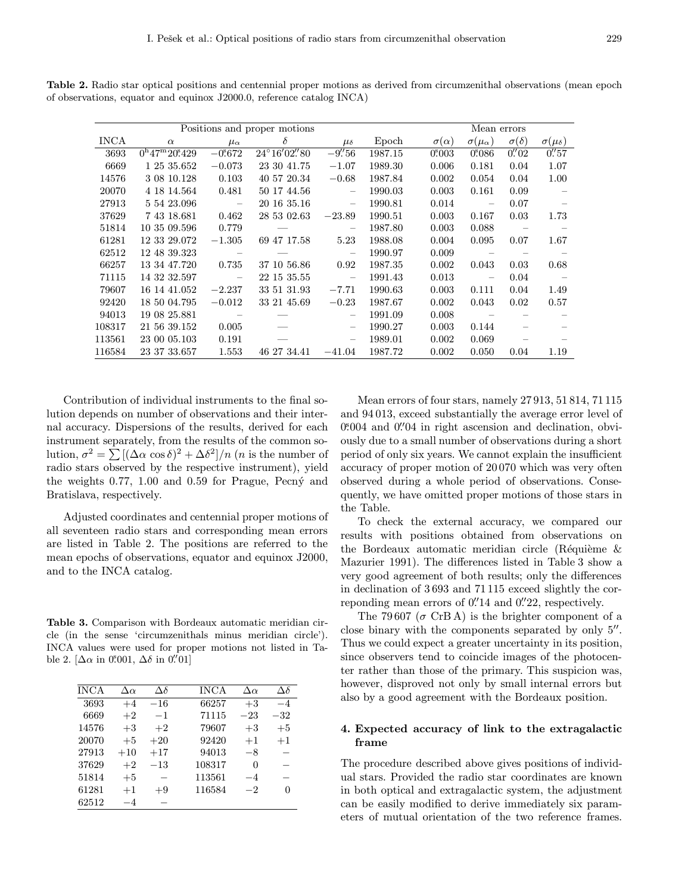| Positions and proper motions |                        |                |                       |                               |         | Mean errors      |                          |                       |                        |  |
|------------------------------|------------------------|----------------|-----------------------|-------------------------------|---------|------------------|--------------------------|-----------------------|------------------------|--|
| <b>INCA</b>                  | $\alpha$               | $\mu_{\alpha}$ | $\delta$              | $\mu_{\delta}$                | Epoch   | $\sigma(\alpha)$ | $\sigma(\mu_\alpha)$     | $\sigma(\delta)$      | $\sigma(\mu_{\delta})$ |  |
| 3693                         | $0^{h}47^{m}20^{s}429$ | $-0.672$       | $24^{\circ}16'02''80$ | $-9\rlap{.}^{\prime\prime}56$ | 1987.15 | $0^{\rm s}003$   | 0.086                    | $0.^{\prime\prime}02$ | $0.^{\prime\prime}57$  |  |
| 6669                         | 1 25 35.652            | $-0.073$       | 23 30 41.75           | $-1.07$                       | 1989.30 | 0.006            | 0.181                    | 0.04                  | 1.07                   |  |
| 14576                        | 3 08 10.128            | 0.103          | 40 57 20.34           | $-0.68$                       | 1987.84 | 0.002            | 0.054                    | 0.04                  | 1.00                   |  |
| 20070                        | 4 18 14.564            | 0.481          | 50 17 44.56           | $\overline{\phantom{m}}$      | 1990.03 | 0.003            | 0.161                    | 0.09                  |                        |  |
| 27913                        | 5 54 23.096            | $\sim$ $-$     | 20 16 35.16           | $\overline{\phantom{m}}$      | 1990.81 | 0.014            | $\overline{\phantom{a}}$ | 0.07                  |                        |  |
| 37629                        | 7 43 18.681            | 0.462          | 28 53 02.63           | $-23.89$                      | 1990.51 | 0.003            | 0.167                    | 0.03                  | 1.73                   |  |
| 51814                        | 10 35 09.596           | 0.779          |                       | $\overline{\phantom{m}}$      | 1987.80 | 0.003            | 0.088                    |                       |                        |  |
| 61281                        | 12 33 29.072           | $-1.305$       | 69 47 17.58           | 5.23                          | 1988.08 | 0.004            | 0.095                    | 0.07                  | 1.67                   |  |
| 62512                        | 12 48 39.323           | $\sim$ $-$     |                       | $\overline{\phantom{m}}$      | 1990.97 | 0.009            |                          |                       |                        |  |
| 66257                        | 13 34 47.720           | 0.735          | 37 10 56.86           | 0.92                          | 1987.35 | 0.002            | 0.043                    | 0.03                  | 0.68                   |  |
| 71115                        | 14 32 32.597           | $\sim$ 100 $-$ | 22 15 35.55           | $\overline{\phantom{m}}$      | 1991.43 | 0.013            | $\overline{\phantom{a}}$ | 0.04                  |                        |  |
| 79607                        | 16 14 41.052           | $-2.237$       | 33 51 31.93           | $-7.71$                       | 1990.63 | 0.003            | 0.111                    | 0.04                  | 1.49                   |  |
| 92420                        | 18 50 04.795           | $-0.012$       | 33 21 45.69           | $-0.23$                       | 1987.67 | 0.002            | 0.043                    | 0.02                  | 0.57                   |  |
| 94013                        | 19 08 25.881           |                |                       | $\overline{\phantom{m}}$      | 1991.09 | 0.008            |                          |                       |                        |  |
| 108317                       | 21 56 39.152           | 0.005          |                       | $\qquad \qquad -$             | 1990.27 | 0.003            | 0.144                    |                       |                        |  |
| 113561                       | 23 00 05.103           | 0.191          |                       | $\overline{\phantom{m}}$      | 1989.01 | 0.002            | 0.069                    |                       |                        |  |
| 116584                       | 23 37 33.657           | 1.553          | 46 27 34.41           | $-41.04$                      | 1987.72 | 0.002            | 0.050                    | 0.04                  | 1.19                   |  |

Table 2. Radio star optical positions and centennial proper motions as derived from circumzenithal observations (mean epoch of observations, equator and equinox J2000.0, reference catalog INCA)

Contribution of individual instruments to the final solution depends on number of observations and their internal accuracy. Dispersions of the results, derived for each instrument separately, from the results of the common solution,  $\sigma^2 = \sum [(\Delta \alpha \cos \delta)^2 + \Delta \delta^2]/n$  (*n* is the number of radio stars observed by the respective instrument), yield the weights  $0.77$ ,  $1.00$  and  $0.59$  for Prague, Pecn $\circ$  and Bratislava, respectively.

Adjusted coordinates and centennial proper motions of all seventeen radio stars and corresponding mean errors are listed in Table 2. The positions are referred to the mean epochs of observations, equator and equinox J2000, and to the INCA catalog.

Table 3. Comparison with Bordeaux automatic meridian circle (in the sense 'circumzenithals minus meridian circle'). INCA values were used for proper motions not listed in Table 2. [ $\Delta \alpha$  in 0.001,  $\Delta \delta$  in 0.01]

| <b>INCA</b> | $\Delta \alpha$ | $\Delta \delta$ | <b>INCA</b> | $\Delta \alpha$ | $\Delta\delta$ |
|-------------|-----------------|-----------------|-------------|-----------------|----------------|
| 3693        | $+4$            | $-16$           | 66257       | $+3$            | $-4$           |
| 6669        | $+2$            | $-1$            | 71115       | $-23$           | $-32$          |
| 14576       | $+3$            | $+2$            | 79607       | $+3$            | $+5$           |
| 20070       | $+5$            | $+20$           | 92420       | $+1$            | $+1$           |
| 27913       | $+10$           | $+17$           | 94013       | $-8$            |                |
| 37629       | $+2$            | $^{-13}$        | 108317      | $\theta$        |                |
| 51814       | $+5$            |                 | 113561      | $-4$            |                |
| 61281       | $+1$            | $+9$            | 116584      | $^{-2}$         | 0              |
| 62512       | -4              |                 |             |                 |                |
|             |                 |                 |             |                 |                |

Mean errors of four stars, namely 27 913, 51 814, 71 115 and 94 013, exceed substantially the average error level of 0.004 and 0. 04 in right ascension and declination, obviously due to a small number of observations during a short period of only six years. We cannot explain the insufficient accuracy of proper motion of 20 070 which was very often observed during a whole period of observations. Consequently, we have omitted proper motions of those stars in the Table.

To check the external accuracy, we compared our results with positions obtained from observations on the Bordeaux automatic meridian circle (Réquième  $\&$ Mazurier 1991). The differences listed in Table 3 show a very good agreement of both results; only the differences in declination of 3 693 and 71 115 exceed slightly the correponding mean errors of  $0.^{\prime\prime}14$  and  $0.^{\prime\prime}22$ , respectively.

The 79.607 ( $\sigma$  CrB A) is the brighter component of a close binary with the components separated by only  $5''$ . Thus we could expect a greater uncertainty in its position, since observers tend to coincide images of the photocenter rather than those of the primary. This suspicion was, however, disproved not only by small internal errors but also by a good agreement with the Bordeaux position.

## 4. Expected accuracy of link to the extragalactic frame

The procedure described above gives positions of individual stars. Provided the radio star coordinates are known in both optical and extragalactic system, the adjustment can be easily modified to derive immediately six parameters of mutual orientation of the two reference frames.